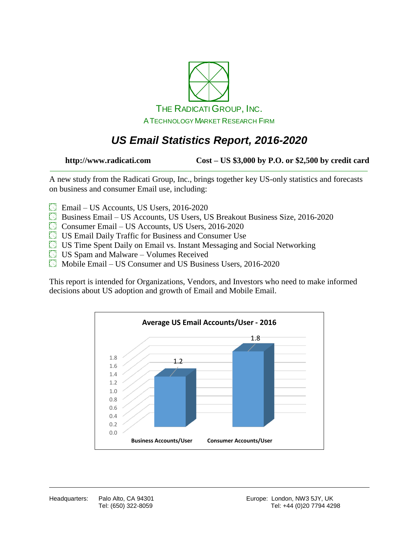

## *US Email Statistics Report, 2016-2020*

**http://www.radicati.com Cost – US \$3,000 by P.O. or \$2,500 by credit card**

A new study from the Radicati Group, Inc., brings together key US-only statistics and forecasts on business and consumer Email use, including:

- Email US Accounts, US Users, 2016-2020
- $\boxtimes$  Business Email US Accounts, US Users, US Breakout Business Size, 2016-2020
- Consumer Email US Accounts, US Users, 2016-2020
- US Email Daily Traffic for Business and Consumer Use
- $\boxtimes$  US Time Spent Daily on Email vs. Instant Messaging and Social Networking
- $\boxtimes$  US Spam and Malware Volumes Received
- Mobile Email US Consumer and US Business Users, 2016-2020

This report is intended for Organizations, Vendors, and Investors who need to make informed decisions about US adoption and growth of Email and Mobile Email.

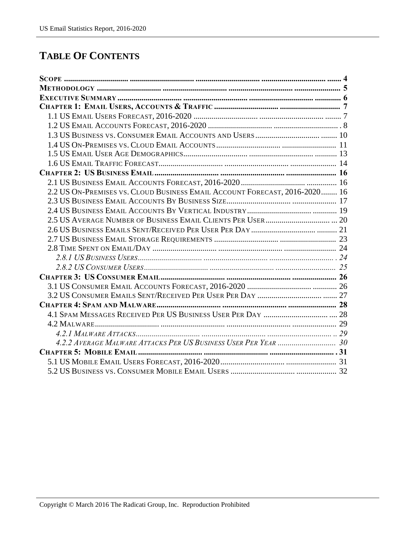#### **TABLE OF CONTENTS**

| 2.2 US ON-PREMISES VS. CLOUD BUSINESS EMAIL ACCOUNT FORECAST, 2016-2020 16 |  |
|----------------------------------------------------------------------------|--|
|                                                                            |  |
|                                                                            |  |
|                                                                            |  |
|                                                                            |  |
|                                                                            |  |
|                                                                            |  |
|                                                                            |  |
|                                                                            |  |
|                                                                            |  |
|                                                                            |  |
|                                                                            |  |
|                                                                            |  |
|                                                                            |  |
|                                                                            |  |
|                                                                            |  |
|                                                                            |  |
|                                                                            |  |
|                                                                            |  |
|                                                                            |  |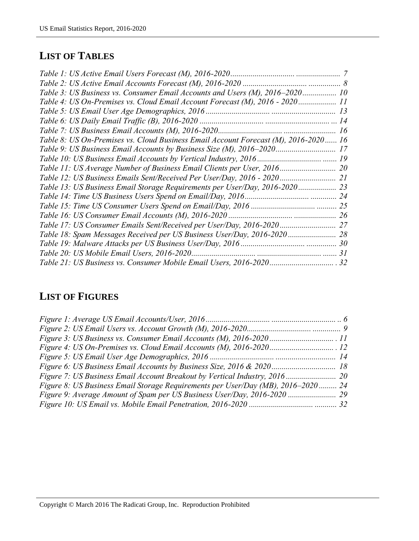# **LIST OF TABLES**

| Table 3: US Business vs. Consumer Email Accounts and Users (M), 2016–2020 10        |  |
|-------------------------------------------------------------------------------------|--|
| Table 4: US On-Premises vs. Cloud Email Account Forecast (M), 2016 - 2020 11        |  |
|                                                                                     |  |
|                                                                                     |  |
|                                                                                     |  |
| Table 8: US On-Premises vs. Cloud Business Email Account Forecast (M), 2016-2020 16 |  |
| Table 9: US Business Email Accounts by Business Size (M), 2016–2020 17              |  |
|                                                                                     |  |
|                                                                                     |  |
| Table 12: US Business Emails Sent/Received Per User/Day, 2016 - 2020 21             |  |
| Table 13: US Business Email Storage Requirements per User/Day, 2016-2020            |  |
|                                                                                     |  |
|                                                                                     |  |
|                                                                                     |  |
|                                                                                     |  |
| Table 18: Spam Messages Received per US Business User/Day, 2016-2020 28             |  |
|                                                                                     |  |
|                                                                                     |  |
|                                                                                     |  |

### **LIST OF FIGURES**

| Figure 8: US Business Email Storage Requirements per User/Day (MB), 2016–2020 24 |  |
|----------------------------------------------------------------------------------|--|
|                                                                                  |  |
|                                                                                  |  |